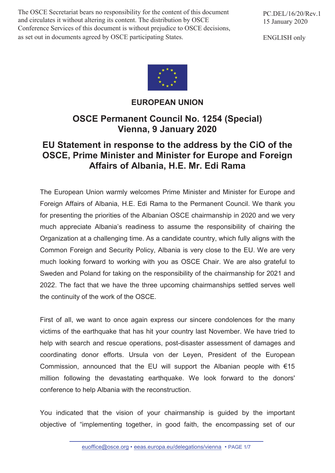The OSCE Secretariat bears no responsibility for the content of this document and circulates it without altering its content. The distribution by OSCE Conference Services of this document is without prejudice to OSCE decisions, as set out in documents agreed by OSCE participating States.

PC.DEL/16/20/Rev.1 15 January 2020

ENGLISH only



## **EUROPEAN UNION**

## **OSCE Permanent Council No. 1254 (Special) Vienna, 9 January 2020**

## **EU Statement in response to the address by the CiO of the OSCE, Prime Minister and Minister for Europe and Foreign Affairs of Albania, H.E. Mr. Edi Rama**

The European Union warmly welcomes Prime Minister and Minister for Europe and Foreign Affairs of Albania, H.E. Edi Rama to the Permanent Council. We thank you for presenting the priorities of the Albanian OSCE chairmanship in 2020 and we very much appreciate Albania's readiness to assume the responsibility of chairing the Organization at a challenging time. As a candidate country, which fully aligns with the Common Foreign and Security Policy, Albania is very close to the EU. We are very much looking forward to working with you as OSCE Chair. We are also grateful to Sweden and Poland for taking on the responsibility of the chairmanship for 2021 and 2022. The fact that we have the three upcoming chairmanships settled serves well the continuity of the work of the OSCE.

First of all, we want to once again express our sincere condolences for the many victims of the earthquake that has hit your country last November. We have tried to help with search and rescue operations, post-disaster assessment of damages and coordinating donor efforts. Ursula von der Leyen, President of the European Commission, announced that the EU will support the Albanian people with  $€15$ million following the devastating earthquake. We look forward to the donors' conference to help Albania with the reconstruction.

You indicated that the vision of your chairmanship is guided by the important objective of "implementing together, in good faith, the encompassing set of our

euoffice@osce.org · eeas.europa.eu/delegations/vienna · PAGE 1/7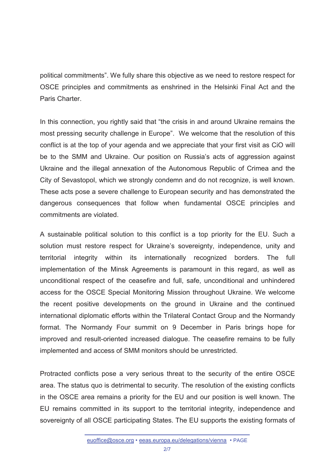political commitments". We fully share this objective as we need to restore respect for OSCE principles and commitments as enshrined in the Helsinki Final Act and the Paris Charter.

In this connection, you rightly said that "the crisis in and around Ukraine remains the most pressing security challenge in Europe". We welcome that the resolution of this conflict is at the top of your agenda and we appreciate that your first visit as CiO will be to the SMM and Ukraine. Our position on Russia's acts of aggression against Ukraine and the illegal annexation of the Autonomous Republic of Crimea and the City of Sevastopol, which we strongly condemn and do not recognize, is well known. These acts pose a severe challenge to European security and has demonstrated the dangerous consequences that follow when fundamental OSCE principles and commitments are violated.

A sustainable political solution to this conflict is a top priority for the EU. Such a solution must restore respect for Ukraine's sovereignty, independence, unity and territorial integrity within its internationally recognized borders. The full implementation of the Minsk Agreements is paramount in this regard, as well as unconditional respect of the ceasefire and full, safe, unconditional and unhindered access for the OSCE Special Monitoring Mission throughout Ukraine. We welcome the recent positive developments on the ground in Ukraine and the continued international diplomatic efforts within the Trilateral Contact Group and the Normandy format. The Normandy Four summit on 9 December in Paris brings hope for improved and result-oriented increased dialogue. The ceasefire remains to be fully implemented and access of SMM monitors should be unrestricted.

Protracted conflicts pose a very serious threat to the security of the entire OSCE area. The status quo is detrimental to security. The resolution of the existing conflicts in the OSCE area remains a priority for the EU and our position is well known. The EU remains committed in its support to the territorial integrity, independence and sovereignty of all OSCE participating States. The EU supports the existing formats of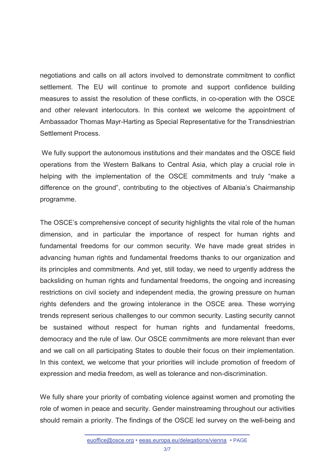negotiations and calls on all actors involved to demonstrate commitment to conflict settlement. The EU will continue to promote and support confidence building measures to assist the resolution of these conflicts, in co-operation with the OSCE and other relevant interlocutors. In this context we welcome the appointment of Ambassador Thomas Mayr-Harting as Special Representative for the Transdniestrian Settlement Process.

We fully support the autonomous institutions and their mandates and the OSCE field operations from the Western Balkans to Central Asia, which play a crucial role in helping with the implementation of the OSCE commitments and truly "make a difference on the ground", contributing to the objectives of Albania's Chairmanship programme.

The OSCE's comprehensive concept of security highlights the vital role of the human dimension, and in particular the importance of respect for human rights and fundamental freedoms for our common security. We have made great strides in advancing human rights and fundamental freedoms thanks to our organization and its principles and commitments. And yet, still today, we need to urgently address the backsliding on human rights and fundamental freedoms, the ongoing and increasing restrictions on civil society and independent media, the growing pressure on human rights defenders and the growing intolerance in the OSCE area. These worrying trends represent serious challenges to our common security. Lasting security cannot be sustained without respect for human rights and fundamental freedoms, democracy and the rule of law. Our OSCE commitments are more relevant than ever and we call on all participating States to double their focus on their implementation. In this context, we welcome that your priorities will include promotion of freedom of expression and media freedom, as well as tolerance and non-discrimination.

We fully share your priority of combating violence against women and promoting the role of women in peace and security. Gender mainstreaming throughout our activities should remain a priority. The findings of the OSCE led survey on the well-being and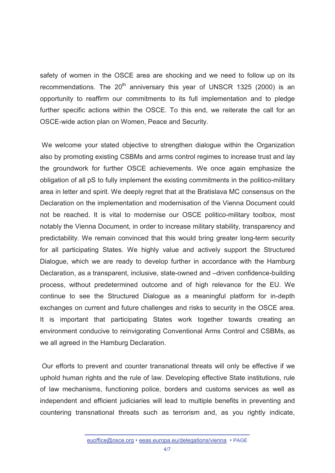safety of women in the OSCE area are shocking and we need to follow up on its recommendations. The  $20<sup>th</sup>$  anniversary this year of UNSCR 1325 (2000) is an opportunity to reaffirm our commitments to its full implementation and to pledge further specific actions within the OSCE. To this end, we reiterate the call for an OSCE-wide action plan on Women, Peace and Security.

 We welcome your stated objective to strengthen dialogue within the Organization also by promoting existing CSBMs and arms control regimes to increase trust and lay the groundwork for further OSCE achievements. We once again emphasize the obligation of all pS to fully implement the existing commitments in the politico-military area in letter and spirit. We deeply regret that at the Bratislava MC consensus on the Declaration on the implementation and modernisation of the Vienna Document could not be reached. It is vital to modernise our OSCE politico-military toolbox, most notably the Vienna Document, in order to increase military stability, transparency and predictability. We remain convinced that this would bring greater long-term security for all participating States. We highly value and actively support the Structured Dialogue, which we are ready to develop further in accordance with the Hamburg Declaration, as a transparent, inclusive, state-owned and –driven confidence-building process, without predetermined outcome and of high relevance for the EU. We continue to see the Structured Dialogue as a meaningful platform for in-depth exchanges on current and future challenges and risks to security in the OSCE area. It is important that participating States work together towards creating an environment conducive to reinvigorating Conventional Arms Control and CSBMs, as we all agreed in the Hamburg Declaration.

 Our efforts to prevent and counter transnational threats will only be effective if we uphold human rights and the rule of law. Developing effective State institutions, rule of law mechanisms, functioning police, borders and customs services as well as independent and efficient judiciaries will lead to multiple benefits in preventing and countering transnational threats such as terrorism and, as you rightly indicate,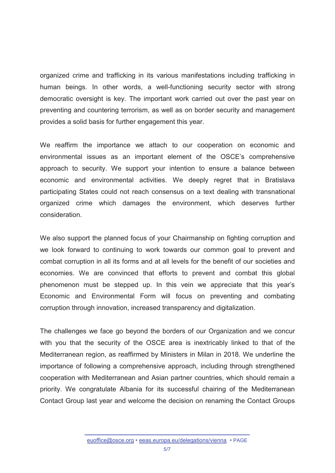organized crime and trafficking in its various manifestations including trafficking in human beings. In other words, a well-functioning security sector with strong democratic oversight is key. The important work carried out over the past year on preventing and countering terrorism, as well as on border security and management provides a solid basis for further engagement this year.

We reaffirm the importance we attach to our cooperation on economic and environmental issues as an important element of the OSCE's comprehensive approach to security. We support your intention to ensure a balance between economic and environmental activities. We deeply regret that in Bratislava participating States could not reach consensus on a text dealing with transnational organized crime which damages the environment, which deserves further consideration.

We also support the planned focus of your Chairmanship on fighting corruption and we look forward to continuing to work towards our common goal to prevent and combat corruption in all its forms and at all levels for the benefit of our societies and economies. We are convinced that efforts to prevent and combat this global phenomenon must be stepped up. In this vein we appreciate that this year's Economic and Environmental Form will focus on preventing and combating corruption through innovation, increased transparency and digitalization.

The challenges we face go beyond the borders of our Organization and we concur with you that the security of the OSCE area is inextricably linked to that of the Mediterranean region, as reaffirmed by Ministers in Milan in 2018. We underline the importance of following a comprehensive approach, including through strengthened cooperation with Mediterranean and Asian partner countries, which should remain a priority. We congratulate Albania for its successful chairing of the Mediterranean Contact Group last year and welcome the decision on renaming the Contact Groups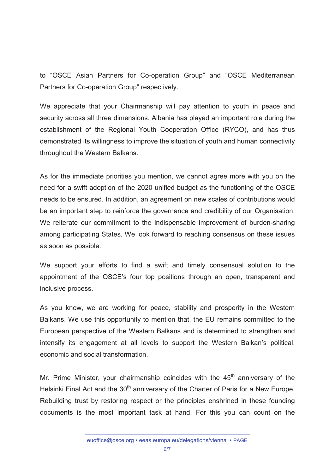to "OSCE Asian Partners for Co-operation Group" and "OSCE Mediterranean Partners for Co-operation Group" respectively.

We appreciate that your Chairmanship will pay attention to youth in peace and security across all three dimensions. Albania has played an important role during the establishment of the Regional Youth Cooperation Office (RYCO), and has thus demonstrated its willingness to improve the situation of youth and human connectivity throughout the Western Balkans.

As for the immediate priorities you mention, we cannot agree more with you on the need for a swift adoption of the 2020 unified budget as the functioning of the OSCE needs to be ensured. In addition, an agreement on new scales of contributions would be an important step to reinforce the governance and credibility of our Organisation. We reiterate our commitment to the indispensable improvement of burden-sharing among participating States. We look forward to reaching consensus on these issues as soon as possible.

We support your efforts to find a swift and timely consensual solution to the appointment of the OSCE's four top positions through an open, transparent and inclusive process.

As you know, we are working for peace, stability and prosperity in the Western Balkans. We use this opportunity to mention that, the EU remains committed to the European perspective of the Western Balkans and is determined to strengthen and intensify its engagement at all levels to support the Western Balkan's political, economic and social transformation.

Mr. Prime Minister, your chairmanship coincides with the  $45<sup>th</sup>$  anniversary of the Helsinki Final Act and the 30<sup>th</sup> anniversary of the Charter of Paris for a New Europe. Rebuilding trust by restoring respect or the principles enshrined in these founding documents is the most important task at hand. For this you can count on the